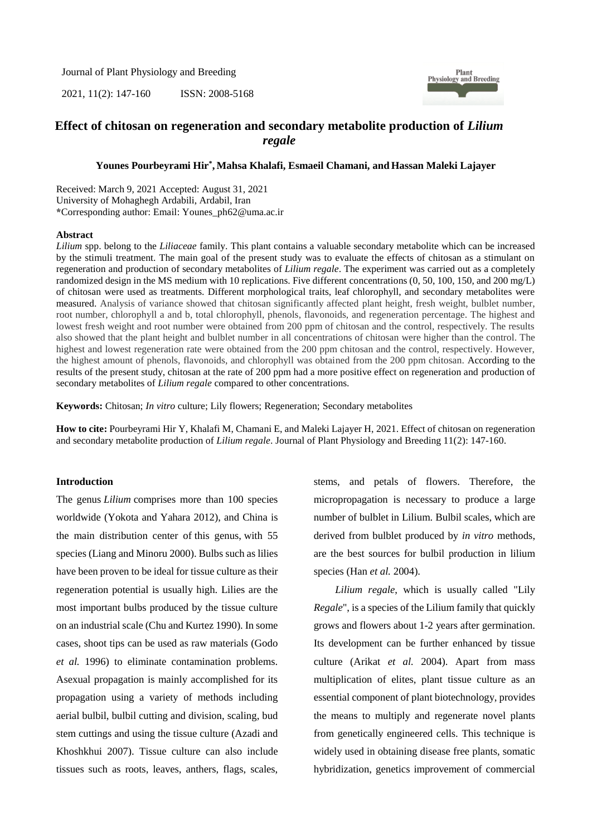Journal of Plant Physiology and Breeding

2021, 11(2): 147-160 ISSN: 2008-5168



# **Effect of chitosan on regeneration and secondary metabolite production of** *Lilium regale*

## **Younes Pourbeyrami Hir\* , Mahsa Khalafi, Esmaeil Chamani, and Hassan Maleki Lajayer**

Received: March 9, 2021 Accepted: August 31, 2021 University of Mohaghegh Ardabili, Ardabil, Iran **\***Corresponding author: Email: Younes\_ph62@uma.ac.ir

### **Abstract**

*Lilium* spp. belong to the *Liliaceae* family. This plant contains a valuable secondary metabolite which can be increased by the stimuli treatment. The main goal of the present study was to evaluate the effects of chitosan as a stimulant on regeneration and production of secondary metabolites of *Lilium regale*. The experiment was carried out as a completely randomized design in the MS medium with 10 replications. Five different concentrations (0, 50, 100, 150, and 200 mg/L) of chitosan were used as treatments. Different morphological traits, leaf chlorophyll, and secondary metabolites were measured. Analysis of variance showed that chitosan significantly affected plant height, fresh weight, bulblet number, root number, chlorophyll a and b, total chlorophyll, phenols, flavonoids, and regeneration percentage. The highest and lowest fresh weight and root number were obtained from 200 ppm of chitosan and the control, respectively. The results also showed that the plant height and bulblet number in all concentrations of chitosan were higher than the control. The highest and lowest regeneration rate were obtained from the 200 ppm chitosan and the control, respectively. However, the highest amount of phenols, flavonoids, and chlorophyll was obtained from the 200 ppm chitosan. According to the results of the present study, chitosan at the rate of 200 ppm had a more positive effect on regeneration and production of secondary metabolites of *Lilium regale* compared to other concentrations.

**Keywords:** Chitosan; *In vitro* culture; Lily flowers; Regeneration; Secondary metabolites

**How to cite:** Pourbeyrami Hir Y, Khalafi M, Chamani E, and Maleki Lajayer H, 2021. Effect of chitosan on regeneration and secondary metabolite production of *Lilium regale*. Journal of Plant Physiology and Breeding 11(2): 147-160.

## **Introduction**

The genus *Lilium* comprises more than 100 species worldwide (Yokota and Yahara 2012), and China is the main distribution center of this genus, with 55 species (Liang and Minoru 2000). Bulbs such as lilies have been proven to be ideal for tissue culture as their regeneration potential is usually high. Lilies are the most important bulbs produced by the tissue culture on an industrial scale (Chu and Kurtez 1990). In some cases, shoot tips can be used as raw materials (Godo *et al.* 1996) to eliminate contamination problems. Asexual propagation is mainly accomplished for its propagation using a variety of methods including aerial bulbil, bulbil cutting and division, scaling, bud stem cuttings and using the tissue culture (Azadi and Khoshkhui 2007). Tissue culture can also include tissues such as roots, leaves, anthers, flags, scales, stems, and petals of flowers. Therefore, the micropropagation is necessary to produce a large number of bulblet in Lilium. Bulbil scales, which are derived from bulblet produced by *in vitro* methods, are the best sources for bulbil production in lilium species (Han *et al.* 2004).

*Lilium regale*, which is usually called "Lily *Regale*", is a species of the Lilium family that quickly grows and flowers about 1-2 years after germination. Its development can be further enhanced by tissue culture (Arikat *et al.* 2004). Apart from mass multiplication of elites, plant tissue culture as an essential component of plant biotechnology, provides the means to multiply and regenerate novel plants from genetically engineered cells. This technique is widely used in obtaining disease free plants, somatic hybridization, genetics improvement of commercial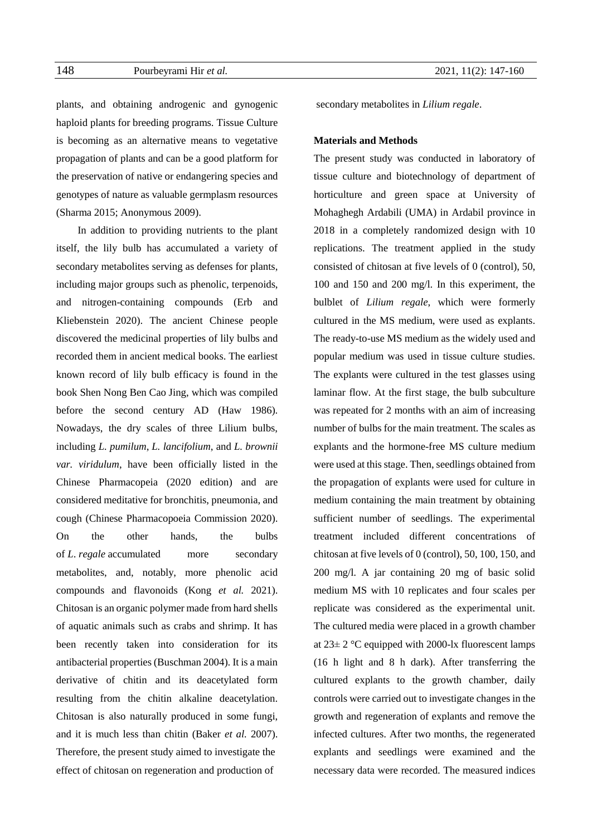plants, and obtaining androgenic and gynogenic haploid plants for breeding programs. Tissue Culture is becoming as an alternative means to vegetative propagation of plants and can be a good platform for the preservation of native or endangering species and genotypes of nature as valuable germplasm resources (Sharma 2015; Anonymous 2009).

In addition to providing nutrients to the plant itself, the lily bulb has accumulated a variety of secondary metabolites serving as defenses for plants, including major groups such as phenolic, terpenoids, and nitrogen-containing compounds (Erb and Kliebenstein 2020). The ancient Chinese people discovered the medicinal properties of lily bulbs and recorded them in ancient medical books. The earliest known record of lily bulb efficacy is found in the book Shen Nong Ben Cao Jing, which was compiled before the second century AD (Haw 1986). Nowadays, the dry scales of three Lilium bulbs, including *L. pumilum*, *L. lancifolium*, and *L. brownii var. viridulum*, have been officially listed in the Chinese Pharmacopeia (2020 edition) and are considered meditative for bronchitis, pneumonia, and cough (Chinese Pharmacopoeia Commission 2020). On the other hands, the bulbs of *L*. *regale* accumulated more secondary metabolites, and, notably, more phenolic acid compounds and flavonoids (Kong *et al.* 2021). Chitosan is an organic polymer made from hard shells of aquatic animals such as crabs and shrimp. It has been recently taken into consideration for its antibacterial properties (Buschman 2004). It is a main derivative of chitin and its deacetylated form resulting from the chitin alkaline deacetylation. Chitosan is also naturally produced in some fungi, and it is much less than chitin (Baker *et al.* 2007). Therefore, the present study aimed to investigate the effect of chitosan on regeneration and production of

secondary metabolites in *Lilium regale*.

## **Materials and Methods**

The present study was conducted in laboratory of tissue culture and biotechnology of department of horticulture and green space at University of Mohaghegh Ardabili (UMA) in Ardabil province in 2018 in a completely randomized design with 10 replications. The treatment applied in the study consisted of chitosan at five levels of 0 (control), 50, 100 and 150 and 200 mg/l. In this experiment, the bulblet of *Lilium regale*, which were formerly cultured in the MS medium, were used as explants. The ready-to-use MS medium as the widely used and popular medium was used in tissue culture studies. The explants were cultured in the test glasses using laminar flow. At the first stage, the bulb subculture was repeated for 2 months with an aim of increasing number of bulbs for the main treatment. The scales as explants and the hormone-free MS culture medium were used at this stage. Then, seedlings obtained from the propagation of explants were used for culture in medium containing the main treatment by obtaining sufficient number of seedlings. The experimental treatment included different concentrations of chitosan at five levels of 0 (control), 50, 100, 150, and 200 mg/l. A jar containing 20 mg of basic solid medium MS with 10 replicates and four scales per replicate was considered as the experimental unit. The cultured media were placed in a growth chamber at  $23\pm 2$  °C equipped with 2000-lx fluorescent lamps (16 h light and 8 h dark). After transferring the cultured explants to the growth chamber, daily controls were carried out to investigate changes in the growth and regeneration of explants and remove the infected cultures. After two months, the regenerated explants and seedlings were examined and the necessary data were recorded. The measured indices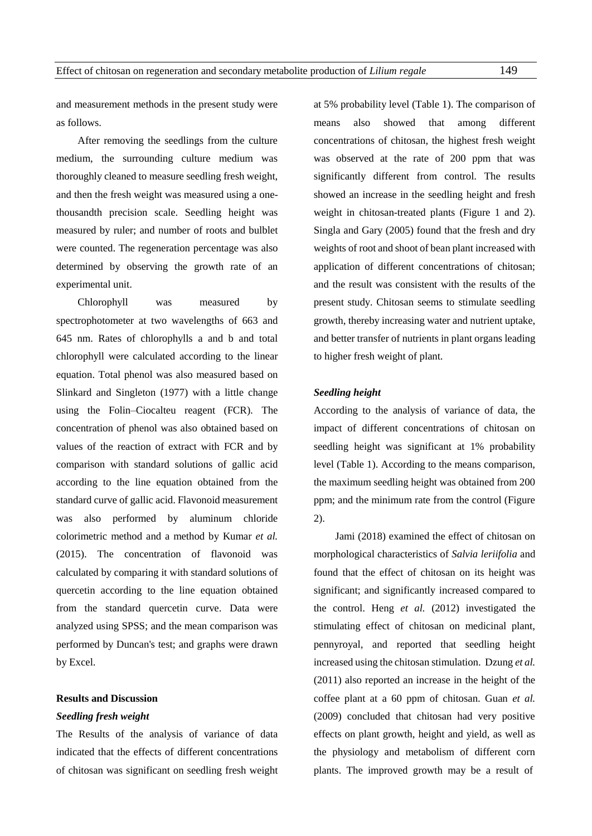and measurement methods in the present study were as follows.

After removing the seedlings from the culture medium, the surrounding culture medium was thoroughly cleaned to measure seedling fresh weight, and then the fresh weight was measured using a onethousandth precision scale. Seedling height was measured by ruler; and number of roots and bulblet were counted. The regeneration percentage was also determined by observing the growth rate of an experimental unit.

Chlorophyll was measured by spectrophotometer at two wavelengths of 663 and 645 nm. Rates of chlorophylls a and b and total chlorophyll were calculated according to the linear equation. Total phenol was also measured based on Slinkard and Singleton (1977) with a little change using the Folin–Ciocalteu reagent (FCR). The concentration of phenol was also obtained based on values of the reaction of extract with FCR and by comparison with standard solutions of gallic acid according to the line equation obtained from the standard curve of gallic acid. Flavonoid measurement was also performed by aluminum chloride colorimetric method and a method by Kumar *et al.* (2015). The concentration of flavonoid was calculated by comparing it with standard solutions of quercetin according to the line equation obtained from the standard quercetin curve. Data were analyzed using SPSS; and the mean comparison was performed by Duncan's test; and graphs were drawn by Excel.

# **Results and Discussion**

#### *Seedling fresh weight*

The Results of the analysis of variance of data indicated that the effects of different concentrations of chitosan was significant on seedling fresh weight at 5% probability level (Table 1). The comparison of means also showed that among different concentrations of chitosan, the highest fresh weight was observed at the rate of 200 ppm that was significantly different from control. The results showed an increase in the seedling height and fresh weight in chitosan-treated plants (Figure 1 and 2). Singla and Gary (2005) found that the fresh and dry weights of root and shoot of bean plant increased with application of different concentrations of chitosan; and the result was consistent with the results of the present study. Chitosan seems to stimulate seedling growth, thereby increasing water and nutrient uptake, and better transfer of nutrients in plant organs leading to higher fresh weight of plant.

#### *Seedling height*

According to the analysis of variance of data, the impact of different concentrations of chitosan on seedling height was significant at 1% probability level (Table 1). According to the means comparison, the maximum seedling height was obtained from 200 ppm; and the minimum rate from the control (Figure 2).

Jami (2018) examined the effect of chitosan on morphological characteristics of *Salvia leriifolia* and found that the effect of chitosan on its height was significant; and significantly increased compared to the control. Heng *et al.* (2012) investigated the stimulating effect of chitosan on medicinal plant, pennyroyal, and reported that seedling height increased using the chitosan stimulation. Dzung *et al.* (2011) also reported an increase in the height of the coffee plant at a 60 ppm of chitosan. Guan *et al.* (2009) concluded that chitosan had very positive effects on plant growth, height and yield, as well as the physiology and metabolism of different corn plants. The improved growth may be a result of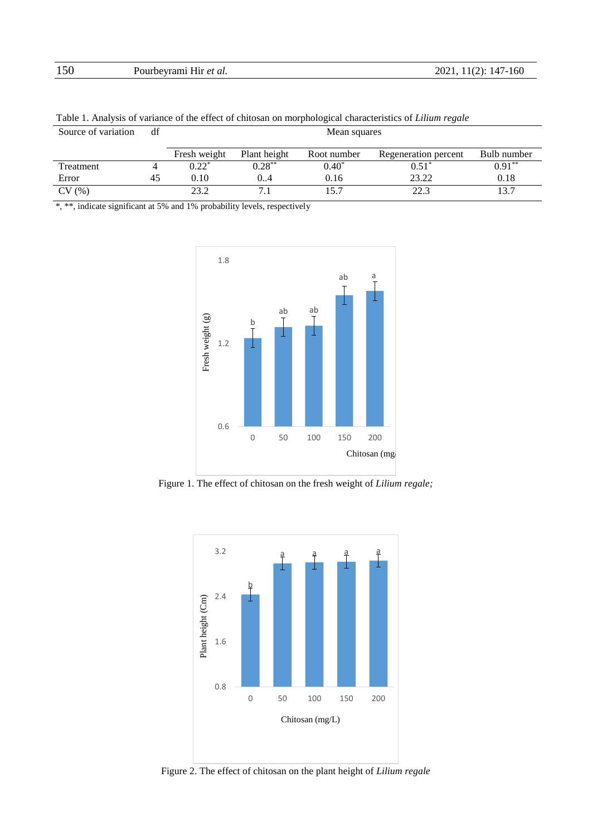| 150 | Pourbeyrami Hir <i>et al.</i> | 2021, 11(2): 147-160 |
|-----|-------------------------------|----------------------|
|     |                               |                      |

| Table 1. Thialysis of variance of the criter of chrosan on morphological characteristics of <i>Ethiani</i> regale |    |              |              |             |                      |             |
|-------------------------------------------------------------------------------------------------------------------|----|--------------|--------------|-------------|----------------------|-------------|
| Source of variation                                                                                               | df | Mean squares |              |             |                      |             |
|                                                                                                                   |    | Fresh weight | Plant height | Root number | Regeneration percent | Bulb number |
| Treatment                                                                                                         |    | $0.22*$      | $0.28***$    | $0.40^*$    | $0.51^*$             | $0.91***$   |
| Error                                                                                                             | 45 | 0.10         | 0.4          | 0.16        | 23.22                | 0.18        |
| CV(%)                                                                                                             |    | 23.2         |              | 15.7        | 22.3                 |             |

Table 1. Analysis of variance of the effect of chitosan on morphological characteristics of *Lilium regale*

\*, \*\*, indicate significant at 5% and 1% probability levels, respectively



Figure 1. The effect of chitosan on the fresh weight of *Lilium regale;*



Figure 2. The effect of chitosan on the plant height of *Lilium regale*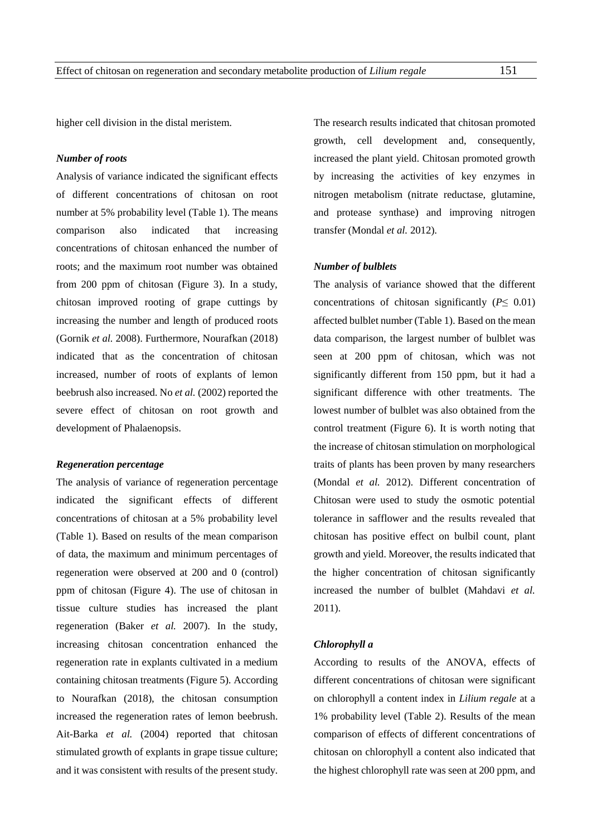higher cell division in the distal meristem.

# *Number of roots*

Analysis of variance indicated the significant effects of different concentrations of chitosan on root number at 5% probability level (Table 1). The means comparison also indicated that increasing concentrations of chitosan enhanced the number of roots; and the maximum root number was obtained from 200 ppm of chitosan (Figure 3). In a study, chitosan improved rooting of grape cuttings by increasing the number and length of produced roots (Gornik *et al.* 2008). Furthermore, Nourafkan (2018) indicated that as the concentration of chitosan increased, number of roots of explants of lemon beebrush also increased. No *et al.* (2002) reported the severe effect of chitosan on root growth and development of Phalaenopsis.

#### *Regeneration percentage*

The analysis of variance of regeneration percentage indicated the significant effects of different concentrations of chitosan at a 5% probability level (Table 1). Based on results of the mean comparison of data, the maximum and minimum percentages of regeneration were observed at 200 and 0 (control) ppm of chitosan (Figure 4). The use of chitosan in tissue culture studies has increased the plant regeneration (Baker *et al.* 2007). In the study, increasing chitosan concentration enhanced the regeneration rate in explants cultivated in a medium containing chitosan treatments (Figure 5). According to Nourafkan (2018), the chitosan consumption increased the regeneration rates of lemon beebrush. Ait-Barka *et al.* (2004) reported that chitosan stimulated growth of explants in grape tissue culture; and it was consistent with results of the present study.

The research results indicated that chitosan promoted growth, cell development and, consequently, increased the plant yield. Chitosan promoted growth by increasing the activities of key enzymes in nitrogen metabolism (nitrate reductase, glutamine, and protease synthase) and improving nitrogen transfer (Mondal *et al.* 2012).

### *Number of bulblets*

The analysis of variance showed that the different concentrations of chitosan significantly ( $P \leq 0.01$ ) affected bulblet number (Table 1). Based on the mean data comparison, the largest number of bulblet was seen at 200 ppm of chitosan, which was not significantly different from 150 ppm, but it had a significant difference with other treatments. The lowest number of bulblet was also obtained from the control treatment (Figure 6). It is worth noting that the increase of chitosan stimulation on morphological traits of plants has been proven by many researchers (Mondal *et al.* 2012). Different concentration of Chitosan were used to study the osmotic potential tolerance in safflower and the results revealed that chitosan has positive effect on bulbil count, plant growth and yield. Moreover, the results indicated that the higher concentration of chitosan significantly increased the number of bulblet (Mahdavi *et al.* 2011).

#### *Chlorophyll a*

According to results of the ANOVA, effects of different concentrations of chitosan were significant on chlorophyll a content index in *Lilium regale* at a 1% probability level (Table 2). Results of the mean comparison of effects of different concentrations of chitosan on chlorophyll a content also indicated that the highest chlorophyll rate was seen at 200 ppm, and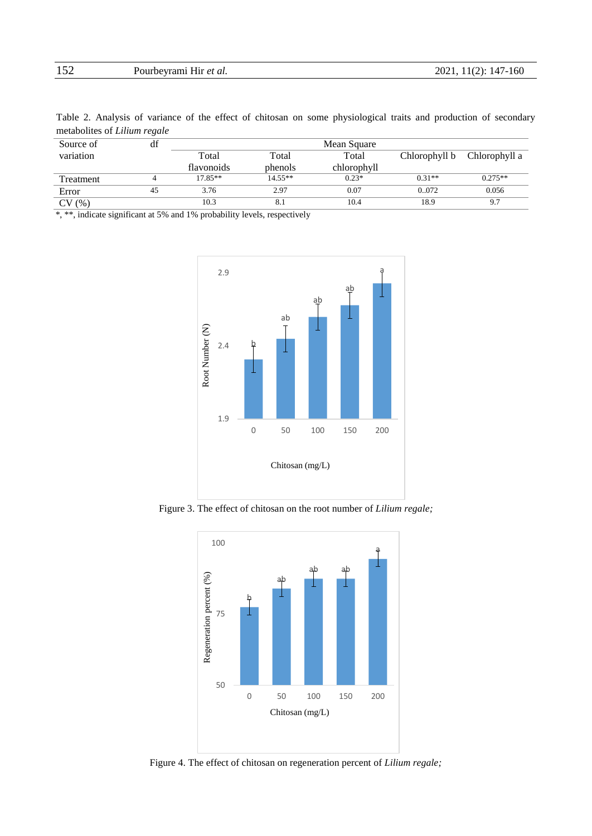| 152 | Pourbeyrami Hir et al. | 2021, 11(2): 147-160 |
|-----|------------------------|----------------------|
|     |                        |                      |

Table 2. Analysis of variance of the effect of chitosan on some physiological traits and production of secondary metabolites of *Lilium regale*

|           | $\cdot$ |            |           |             |               |               |
|-----------|---------|------------|-----------|-------------|---------------|---------------|
| Source of | df      |            |           | Mean Square |               |               |
| variation |         | Total      | Total     | Total       | Chlorophyll b | Chlorophyll a |
|           |         | flavonoids | phenols   | chlorophyll |               |               |
| Treatment |         | $17.85**$  | $14.55**$ | $0.23*$     | $0.31**$      | $0.275**$     |
| Error     | 45      | 3.76       | 2.97      | 0.07        | 0.072         | 0.056         |
| CV(%)     |         | 10.3       | 8.1       | 10.4        | 18.9          | 9.7           |
|           |         |            |           |             |               |               |

\*, \*\*, indicate significant at 5% and 1% probability levels, respectively



Figure 3. The effect of chitosan on the root number of *Lilium regale;*



Figure 4. The effect of chitosan on regeneration percent of *Lilium regale;*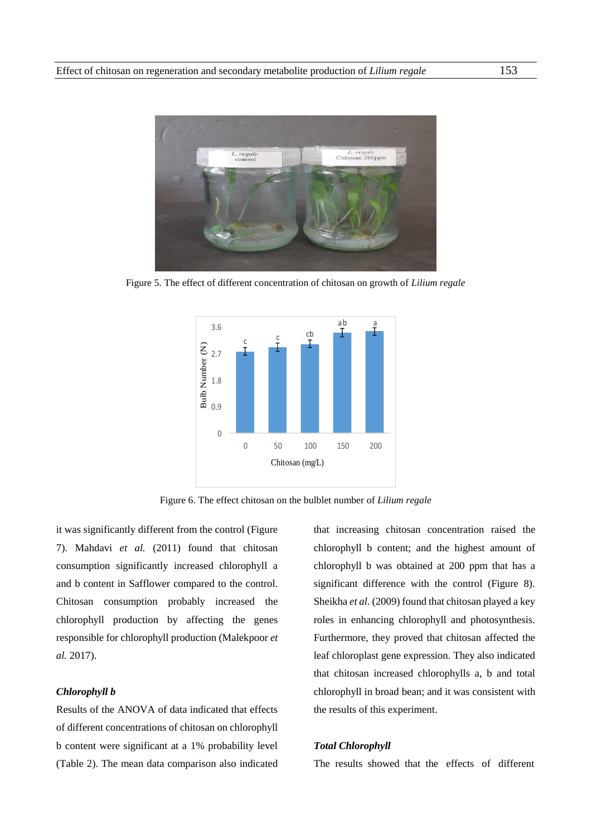

Figure 5. The effect of different concentration of chitosan on growth of *Lilium regale*



Figure 6. The effect chitosan on the bulblet number of *Lilium regale*

it was significantly different from the control (Figure 7). Mahdavi *et al.* (2011) found that chitosan consumption significantly increased chlorophyll a and b content in Safflower compared to the control. Chitosan consumption probably increased the chlorophyll production by affecting the genes responsible for chlorophyll production (Malekpoor *et al.* 2017).

## *Chlorophyll b*

Results of the ANOVA of data indicated that effects of different concentrations of chitosan on chlorophyll b content were significant at a 1% probability level (Table 2). The mean data comparison also indicated

that increasing chitosan concentration raised the chlorophyll b content; and the highest amount of chlorophyll b was obtained at 200 ppm that has a significant difference with the control (Figure 8). Sheikha *et al.* (2009) found that chitosan played a key roles in enhancing chlorophyll and photosynthesis. Furthermore, they proved that chitosan affected the leaf chloroplast gene expression. They also indicated that chitosan increased chlorophylls a, b and total chlorophyll in broad bean; and it was consistent with the results of this experiment.

## *Total Chlorophyll*

The results showed that the effects of different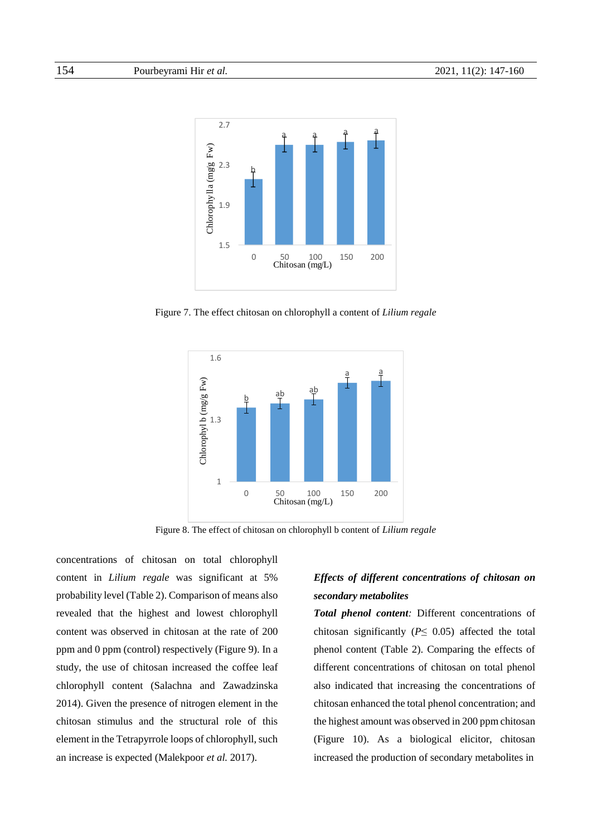

Figure 7. The effect chitosan on chlorophyll a content of *Lilium regale*



Figure 8. The effect of chitosan on chlorophyll b content of *Lilium regale*

concentrations of chitosan on total chlorophyll content in *Lilium regale* was significant at 5% probability level (Table 2). Comparison of means also revealed that the highest and lowest chlorophyll content was observed in chitosan at the rate of 200 ppm and 0 ppm (control) respectively (Figure 9). In a study, the use of chitosan increased the coffee leaf chlorophyll content (Salachna and Zawadzinska 2014). Given the presence of nitrogen element in the chitosan stimulus and the structural role of this element in the Tetrapyrrole loops of chlorophyll, such an increase is expected (Malekpoor *et al.* 2017).

# *Effects of different concentrations of chitosan on secondary metabolites*

*Total phenol content:* Different concentrations of chitosan significantly ( $P \leq 0.05$ ) affected the total phenol content (Table 2). Comparing the effects of different concentrations of chitosan on total phenol also indicated that increasing the concentrations of chitosan enhanced the total phenol concentration; and the highest amount was observed in 200 ppm chitosan (Figure 10). As a biological elicitor, chitosan increased the production of secondary metabolites in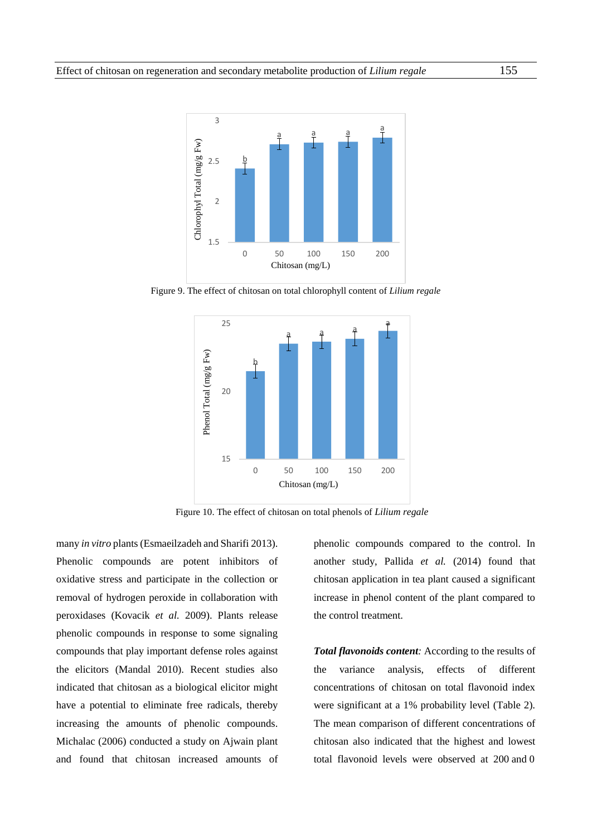

Figure 9. The effect of chitosan on total chlorophyll content of *Lilium regale* 



Figure 10. The effect of chitosan on total phenols of *Lilium regale*

many *in vitro* plants (Esmaeilzadeh and Sharifi 2013). Phenolic compounds are potent inhibitors of oxidative stress and participate in the collection or removal of hydrogen peroxide in collaboration with peroxidases (Kovacik *et al.* 2009). Plants release phenolic compounds in response to some signaling compounds that play important defense roles against the elicitors (Mandal 2010). Recent studies also indicated that chitosan as a biological elicitor might have a potential to eliminate free radicals, thereby increasing the amounts of phenolic compounds. Michalac (2006) conducted a study on Ajwain plant and found that chitosan increased amounts of phenolic compounds compared to the control. In another study, Pallida *et al.* (2014) found that chitosan application in tea plant caused a significant increase in phenol content of the plant compared to the control treatment.

*Total flavonoids content:* According to the results of the variance analysis, effects of different concentrations of chitosan on total flavonoid index were significant at a 1% probability level (Table 2). The mean comparison of different concentrations of chitosan also indicated that the highest and lowest total flavonoid levels were observed at 200 and 0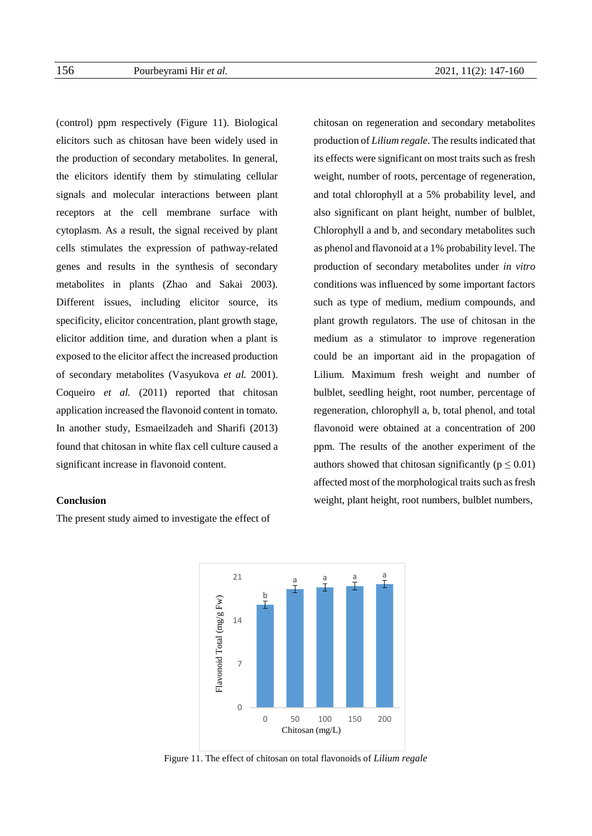(control) ppm respectively (Figure 11). Biological elicitors such as chitosan have been widely used in the production of secondary metabolites. In general, the elicitors identify them by stimulating cellular signals and molecular interactions between plant receptors at the cell membrane surface with cytoplasm. As a result, the signal received by plant cells stimulates the expression of pathway-related genes and results in the synthesis of secondary metabolites in plants (Zhao and Sakai 2003). Different issues, including elicitor source, its specificity, elicitor concentration, plant growth stage, elicitor addition time, and duration when a plant is exposed to the elicitor affect the increased production of secondary metabolites (Vasyukova *et al.* 2001). Coqueiro *et al.* (2011) reported that chitosan application increased the flavonoid content in tomato. In another study, Esmaeilzadeh and Sharifi (2013) found that chitosan in white flax cell culture caused a significant increase in flavonoid content.

# **Conclusion**

The present study aimed to investigate the effect of

chitosan on regeneration and secondary metabolites production of *Lilium regale*. The results indicated that its effects were significant on most traits such as fresh weight, number of roots, percentage of regeneration, and total chlorophyll at a 5% probability level, and also significant on plant height, number of bulblet, Chlorophyll a and b, and secondary metabolites such as phenol and flavonoid at a 1% probability level. The production of secondary metabolites under *in vitro* conditions was influenced by some important factors such as type of medium, medium compounds, and plant growth regulators. The use of chitosan in the medium as a stimulator to improve regeneration could be an important aid in the propagation of Lilium. Maximum fresh weight and number of bulblet, seedling height, root number, percentage of regeneration, chlorophyll a, b, total phenol, and total flavonoid were obtained at a concentration of 200 ppm. The results of the another experiment of the authors showed that chitosan significantly ( $p \le 0.01$ ) affected most of the morphological traits such as fresh weight, plant height, root numbers, bulblet numbers,



Figure 11. The effect of chitosan on total flavonoids of *Lilium regale*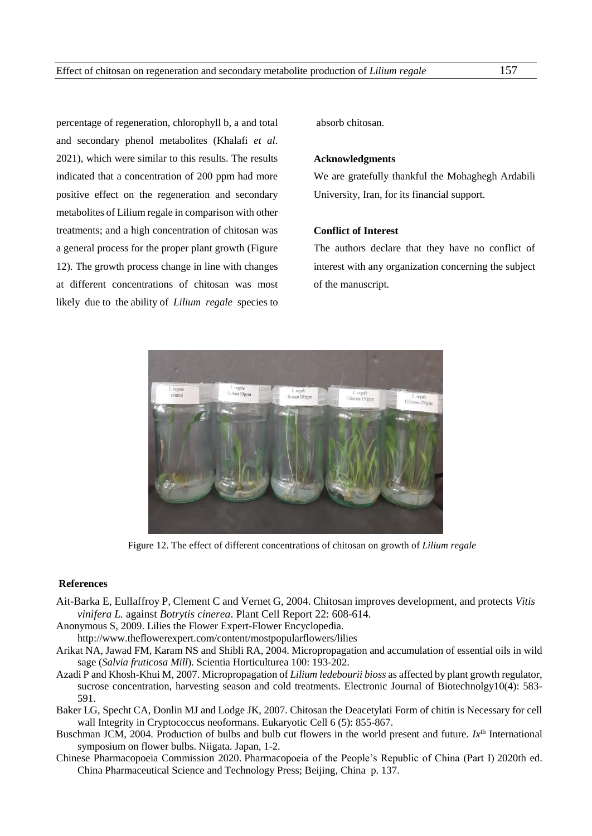percentage of regeneration, chlorophyll b, a and total and secondary phenol metabolites (Khalafi *et al*. 2021), which were similar to this results. The results indicated that a concentration of 200 ppm had more positive effect on the regeneration and secondary metabolites of Lilium regale in comparison with other treatments; and a high concentration of chitosan was a general process for the proper plant growth (Figure 12). The growth process change in line with changes at different concentrations of chitosan was most likely due to the ability of *Lilium regale* species to absorb chitosan.

#### **Acknowledgments**

We are gratefully thankful the Mohaghegh Ardabili University, Iran, for its financial support.

#### **Conflict of Interest**

The authors declare that they have no conflict of interest with any organization concerning the subject of the manuscript.



Figure 12. The effect of different concentrations of chitosan on growth of *Lilium regale*

# **References**

- Ait-Barka E, Eullaffroy P, Clement C and Vernet G, 2004. Chitosan improves development, and protects *Vitis vinifera L.* against *Botrytis cinerea*. Plant Cell Report 22: 608-614.
- Anonymous S, 2009. Lilies the Flower Expert-Flower Encyclopedia. <http://www.theflowerexpert.com/content/mostpopularflowers/lilies>
- Arikat NA, Jawad FM, Karam NS and Shibli RA, 2004. Micropropagation and accumulation of essential oils in wild sage (*Salvia fruticosa Mill*). Scientia Horticulturea 100: 193-202.
- Azadi P and Khosh-Khui M, 2007. Micropropagation of *Lilium ledebourii bioss* as affected by plant growth regulator, sucrose concentration, harvesting season and cold treatments. Electronic Journal of Biotechnolgy10(4): 583-591.
- Baker LG, Specht CA, Donlin MJ and Lodge JK, 2007. Chitosan the Deacetylati Form of chitin is Necessary for cell wall Integrity in Cryptococcus neoformans. Eukaryotic Cell 6 (5): 855-867.
- Buschman JCM, 2004. Production of bulbs and bulb cut flowers in the world present and future. *Ix*<sup>th</sup> International symposium on flower bulbs. Niigata. Japan*,* 1-2.
- Chinese Pharmacopoeia Commission 2020. Pharmacopoeia of the People's Republic of China (Part I) 2020th ed. China Pharmaceutical Science and Technology Press; Beijing, China p. 137.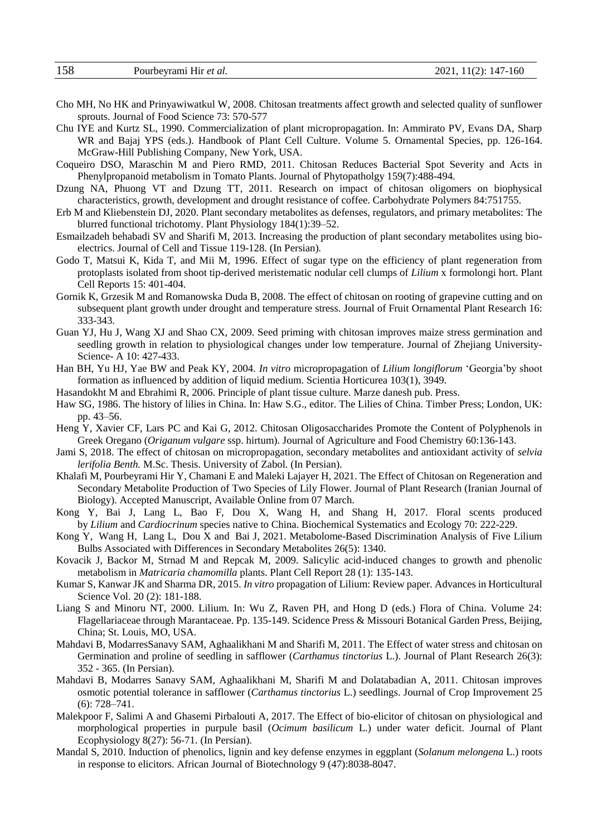- Cho MH, No HK and Prinyawiwatkul W, 2008. Chitosan treatments affect growth and selected quality of sunflower sprouts. Journal of Food Science 73: 570-577
- Chu IYE and Kurtz SL, 1990. Commercialization of plant micropropagation. In: Ammirato PV, Evans DA, Sharp WR and Bajaj YPS (eds.). Handbook of Plant Cell Culture. Volume 5. Ornamental Species, pp. 126-164. McGraw-Hill Publishing Company, New York, USA.
- Coqueiro DSO, Maraschin M and Piero RMD, 2011. Chitosan Reduces Bacterial Spot Severity and Acts in Phenylpropanoid metabolism in Tomato Plants. Journal of Phytopatholgy 159(7):488-494.
- Dzung NA, Phuong VT and Dzung TT, 2011. Research on impact of chitosan oligomers on biophysical characteristics, growth, development and drought resistance of coffee. Carbohydrate Polymers 84:751755.
- Erb M and Kliebenstein DJ, 2020. Plant secondary metabolites as defenses, regulators, and primary metabolites: The blurred functional trichotomy. Plant Physiology 184(1):39–52.
- Esmailzadeh behabadi SV and Sharifi M, 2013. Increasing the production of plant secondary metabolites using bioelectrics. Journal of Cell and Tissue 119-128. (In Persian).
- Godo T, Matsui K, Kida T, and Mii M, 1996. Effect of sugar type on the efficiency of plant regeneration from protoplasts isolated from shoot tip-derived meristematic nodular cell clumps of *Lilium* x formolongi hort. Plant Cell Reports 15: 401-404.
- Gornik K, Grzesik M and Romanowska Duda B, 2008. The effect of chitosan on rooting of grapevine cutting and on subsequent plant growth under drought and temperature stress. Journal of Fruit Ornamental Plant Research 16: 333-343.
- Guan YJ, Hu J, Wang XJ and Shao CX, 2009. Seed priming with chitosan improves maize stress germination and seedling growth in relation to physiological changes under low temperature. Journal of Zhejiang University-Science- A 10: 427-433.
- Han BH, Yu HJ, Yae BW and Peak KY, 2004. *In vitro* micropropagation of *Lilium longiflorum* 'Georgia'by shoot formation as influenced by addition of liquid medium. Scientia Horticurea 103(1), 3949.
- Hasandokht M and Ebrahimi R, 2006. Principle of plant tissue culture. Marze danesh pub. Press.
- Haw SG, 1986. The history of lilies in China. In: Haw S.G., editor. The Lilies of China. Timber Press; London, UK: pp. 43–56.
- Heng Y, Xavier CF, Lars PC and Kai G, 2012. Chitosan Oligosaccharides Promote the Content of Polyphenols in Greek Oregano (*Origanum vulgare* ssp. hirtum). Journal of Agriculture and Food Chemistry 60:136-143.
- Jami S, 2018. The effect of chitosan on micropropagation, secondary metabolites and antioxidant activity of *selvia lerifolia Benth.* M.Sc. Thesis. University of Zabol. (In Persian).
- Khalafi M, Pourbeyrami Hir Y, Chamani E and Maleki Lajayer H, 2021. The Effect of Chitosan on Regeneration and Secondary Metabolite Production of Two Species of Lily Flower. Journal of Plant Research (Iranian Journal of Biology). Accepted Manuscript, Available Online from 07 March.
- Kong Y, Bai J, Lang L, Bao F, Dou X, Wang H, and Shang H, 2017. Floral scents produced by *Lilium* and *Cardiocrinum* species native to China. Biochemical Systematics and Ecology 70: 222-229.
- [Kong](https://www.ncbi.nlm.nih.gov/pubmed/?term=Kong%20Y%5BAuthor%5D&cauthor=true&cauthor_uid=33801551) Y, [Wang](https://www.ncbi.nlm.nih.gov/pubmed/?term=Wang%20H%5BAuthor%5D&cauthor=true&cauthor_uid=33801551) H, [Lang](https://www.ncbi.nlm.nih.gov/pubmed/?term=Lang%20L%5BAuthor%5D&cauthor=true&cauthor_uid=33801551) L, [Dou](https://www.ncbi.nlm.nih.gov/pubmed/?term=Dou%20X%5BAuthor%5D&cauthor=true&cauthor_uid=33801551) X and [Bai](https://www.ncbi.nlm.nih.gov/pubmed/?term=Bai%20J%5BAuthor%5D&cauthor=true&cauthor_uid=33801551) J, 2021. Metabolome-Based Discrimination Analysis of Five Lilium Bulbs Associated with Differences in Secondary Metabolites 26(5): 1340.
- Kovacik J, Backor M, Strnad M and Repcak M, 2009. Salicylic acid-induced changes to growth and phenolic metabolism in *Matricaria chamomilla* plants. Plant Cell Report 28 (1): 135-143.
- Kumar S, Kanwar JK and Sharma DR, 2015. *In vitro* propagation of Lilium: Review paper. Advances in Horticultural Science Vol. 20 (2): 181-188.
- Liang S and Minoru NT, 2000. Lilium. In: Wu Z, Raven PH, and Hong D (eds.) Flora of China. Volume 24: Flagellariaceae through Marantaceae. Pp. 135-149. Scidence Press & Missouri Botanical Garden Press, Beijing, China; St. Louis, MO, USA.
- Mahdavi B, ModarresSanavy SAM, Aghaalikhani M and Sharifi M, 2011. The Effect of water stress and chitosan on Germination and proline of seedling in safflower (*Carthamus tinctorius* L.). Journal of Plant Research 26(3): 352 - 365. (In Persian).
- Mahdavi B, Modarres Sanavy SAM, Aghaalikhani M, Sharifi M and Dolatabadian A, 2011. Chitosan improves osmotic potential tolerance in safflower (*Carthamus tinctorius* L.) seedlings. Journal of Crop Improvement 25 (6): 728–741.
- Malekpoor F, Salimi A and Ghasemi Pirbalouti A, 2017. The Effect of bio-elicitor of chitosan on physiological and morphological properties in purpule basil (*Ocimum basilicum* L.) under water deficit. Journal of Plant Ecophysiology 8(27): 56-71. (In Persian).
- Mandal S, 2010. Induction of phenolics, lignin and key defense enzymes in eggplant (*Solanum melongena* L.) roots in response to elicitors. African Journal of Biotechnology 9 (47):8038-8047.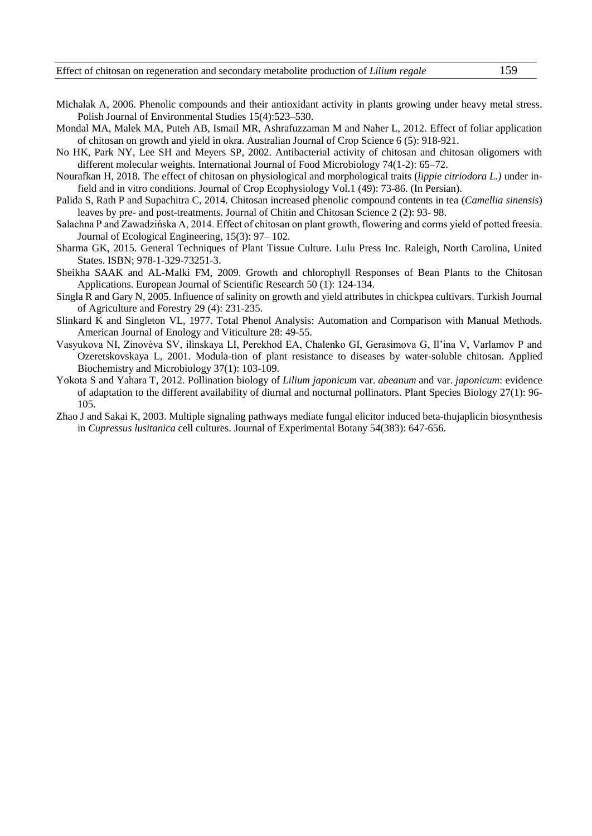- Michalak A, 2006. Phenolic compounds and their antioxidant activity in plants growing under heavy metal stress. Polish Journal of Environmental Studies 15(4):523–530.
- Mondal MA, Malek MA, Puteh AB, Ismail MR, Ashrafuzzaman M and Naher L, 2012. Effect of foliar application of chitosan on growth and yield in okra. Australian Journal of Crop Science 6 (5): 918-921.
- No HK, Park NY, Lee SH and Meyers SP, 2002. Antibacterial activity of chitosan and chitosan oligomers with different molecular weights. International Journal of Food Microbiology 74(1-2): 65–72.
- Nourafkan H, 2018. The effect of chitosan on physiological and morphological traits (*lippie citriodora L.)* under infield and in vitro conditions. Journal of Crop Ecophysiology Vol.1 (49): 73-86. (In Persian).
- Palida S, Rath P and Supachitra C, 2014. Chitosan increased phenolic compound contents in tea (*Camellia sinensis*) leaves by pre- and post-treatments. Journal of Chitin and Chitosan Science 2 (2): 93- 98.
- Salachna P and Zawadzińska A, 2014. Effect of chitosan on plant growth, flowering and corms yield of potted freesia. Journal of Ecological Engineering*,* 15(3): 97– 102.
- Sharma GK, 2015. General Techniques of Plant Tissue Culture. Lulu Press Inc. Raleigh, North Carolina, United States. ISBN; 978-1-329-73251-3.
- Sheikha SAAK and AL-Malki FM, 2009. Growth and chlorophyll Responses of Bean Plants to the Chitosan Applications. European Journal of Scientific Research 50 (1): 124-134.
- Singla R and Gary N, 2005. Influence of salinity on growth and yield attributes in chickpea cultivars. Turkish Journal of Agriculture and Forestry 29 (4): 231-235.
- Slinkard K and Singleton VL, 1977. Total Phenol Analysis: Automation and Comparison with Manual Methods. American Journal of Enology and Viticulture 28: 49-55.
- Vasyukova NI, Zinovèva SV, ilìnskaya LI, Perekhod EA, Chalenko GI, Gerasimova G, Il'ina V, Varlamov P and Ozeretskovskaya L, 2001. Modula-tion of plant resistance to diseases by water-soluble chitosan. Applied Biochemistry and Microbiology 37(1): 103-109.
- Yokota S and [Yahara](https://esj-journals.onlinelibrary.wiley.com/action/doSearch?ContribAuthorRaw=YAHARA%2C+TETSUKAZU) T, 2012. Pollination biology of *Lilium japonicum* var. *abeanum* and var. *japonicum*: evidence of adaptation to the different availability of diurnal and nocturnal pollinators. Plant Species Biology 27(1): 96- 105.
- Zhao J and Sakai K, 2003. Multiple signaling pathways mediate fungal elicitor induced beta-thujaplicin biosynthesis in *Cupressus lusitanica* cell cultures. Journal of Experimental Botany 54(383): 647-656.